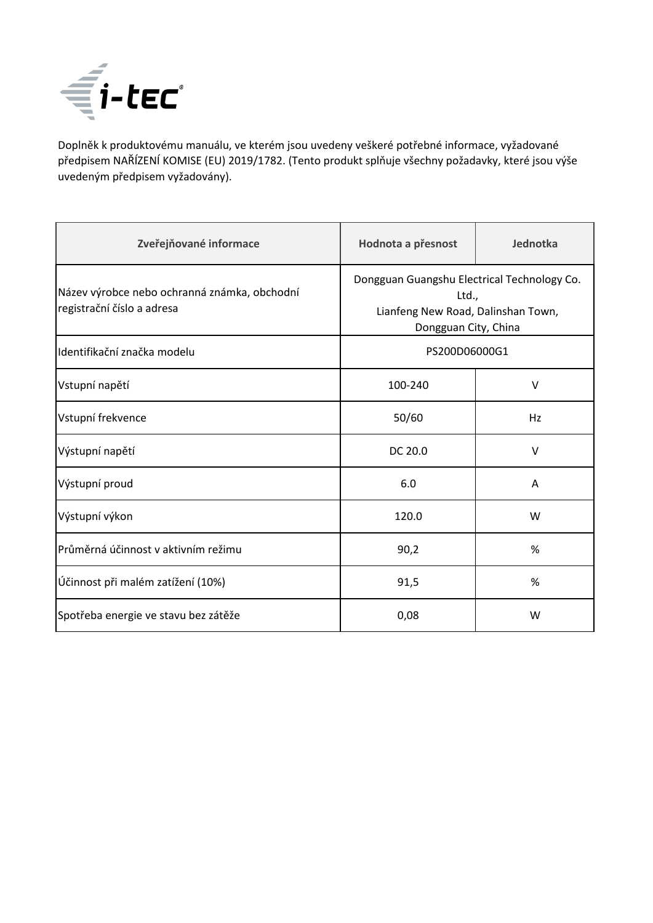

Doplněk k produktovému manuálu, ve kterém jsou uvedeny veškeré potřebné informace, vyžadované předpisem NAŘÍZENÍ KOMISE (EU) 2019/1782. (Tento produkt splňuje všechny požadavky, které jsou výše uvedeným předpisem vyžadovány).

| Zveřejňované informace                                                     | Hodnota a přesnost                                                                                                 | Jednotka |
|----------------------------------------------------------------------------|--------------------------------------------------------------------------------------------------------------------|----------|
| Název výrobce nebo ochranná známka, obchodní<br>registrační číslo a adresa | Dongguan Guangshu Electrical Technology Co.<br>Ltd.,<br>Lianfeng New Road, Dalinshan Town,<br>Dongguan City, China |          |
| Identifikační značka modelu                                                | PS200D06000G1                                                                                                      |          |
| Vstupní napětí                                                             | 100-240                                                                                                            | $\vee$   |
| Vstupní frekvence                                                          | 50/60                                                                                                              | Hz       |
| Výstupní napětí                                                            | DC 20.0                                                                                                            | $\vee$   |
| Výstupní proud                                                             | 6.0                                                                                                                | A        |
| Výstupní výkon                                                             | 120.0                                                                                                              | W        |
| Průměrná účinnost v aktivním režimu                                        | 90,2                                                                                                               | %        |
| Účinnost při malém zatížení (10%)                                          | 91,5                                                                                                               | %        |
| Spotřeba energie ve stavu bez zátěže                                       | 0,08                                                                                                               | W        |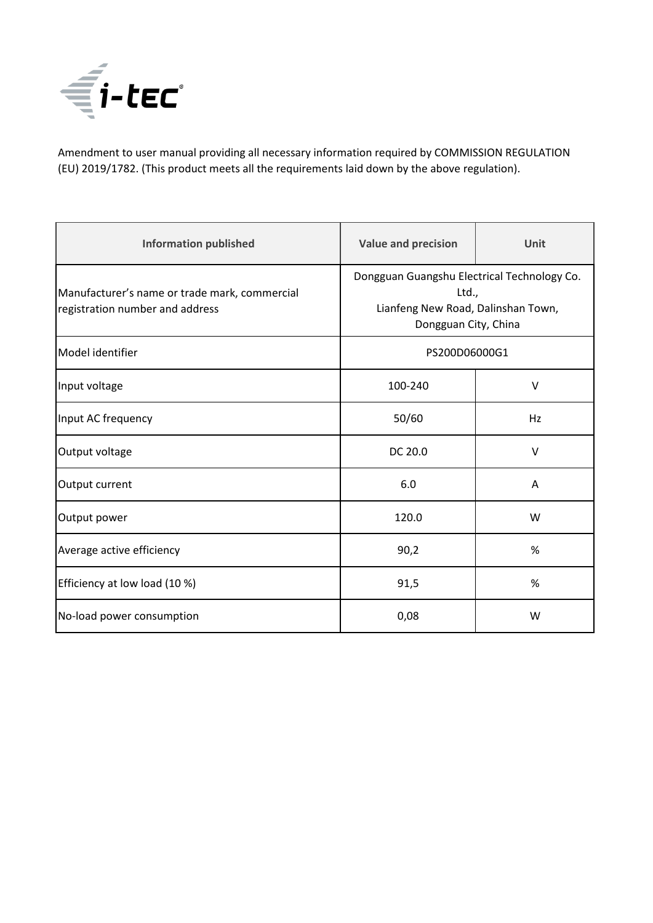

Amendment to user manual providing all necessary information required by COMMISSION REGULATION (EU) 2019/1782. (This product meets all the requirements laid down by the above regulation).

| <b>Information published</b>                                                     | <b>Value and precision</b>                                                                                         | Unit   |
|----------------------------------------------------------------------------------|--------------------------------------------------------------------------------------------------------------------|--------|
| Manufacturer's name or trade mark, commercial<br>registration number and address | Dongguan Guangshu Electrical Technology Co.<br>Ltd.,<br>Lianfeng New Road, Dalinshan Town,<br>Dongguan City, China |        |
| Model identifier                                                                 | PS200D06000G1                                                                                                      |        |
| Input voltage                                                                    | 100-240                                                                                                            | $\vee$ |
| Input AC frequency                                                               | 50/60                                                                                                              | Hz     |
| Output voltage                                                                   | DC 20.0                                                                                                            | $\vee$ |
| Output current                                                                   | 6.0                                                                                                                | A      |
| Output power                                                                     | 120.0                                                                                                              | W      |
| Average active efficiency                                                        | 90,2                                                                                                               | %      |
| Efficiency at low load (10 %)                                                    | 91,5                                                                                                               | %      |
| No-load power consumption                                                        | 0,08                                                                                                               | W      |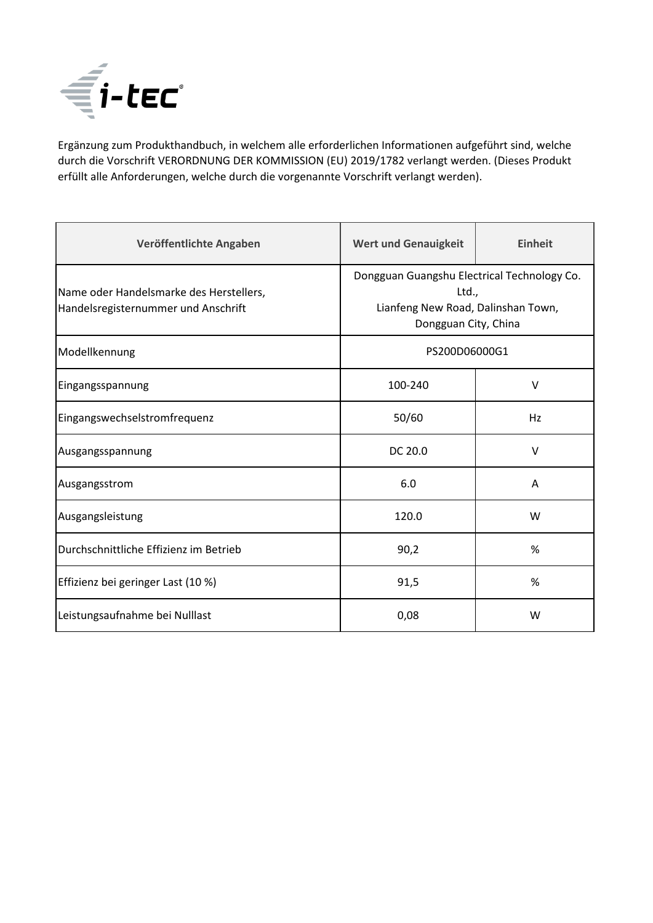

Ergänzung zum Produkthandbuch, in welchem alle erforderlichen Informationen aufgeführt sind, welche durch die Vorschrift VERORDNUNG DER KOMMISSION (EU) 2019/1782 verlangt werden. (Dieses Produkt erfüllt alle Anforderungen, welche durch die vorgenannte Vorschrift verlangt werden).

| Veröffentlichte Angaben                                                        | <b>Wert und Genauigkeit</b>                                                                                        | <b>Einheit</b> |
|--------------------------------------------------------------------------------|--------------------------------------------------------------------------------------------------------------------|----------------|
| Name oder Handelsmarke des Herstellers,<br>Handelsregisternummer und Anschrift | Dongguan Guangshu Electrical Technology Co.<br>Ltd.,<br>Lianfeng New Road, Dalinshan Town,<br>Dongguan City, China |                |
| Modellkennung                                                                  | PS200D06000G1                                                                                                      |                |
| Eingangsspannung                                                               | 100-240                                                                                                            | $\vee$         |
| Eingangswechselstromfrequenz                                                   | 50/60                                                                                                              | Hz             |
| Ausgangsspannung                                                               | DC 20.0                                                                                                            | $\vee$         |
| Ausgangsstrom                                                                  | 6.0                                                                                                                | A              |
| Ausgangsleistung                                                               | 120.0                                                                                                              | W              |
| Durchschnittliche Effizienz im Betrieb                                         | 90,2                                                                                                               | %              |
| Effizienz bei geringer Last (10 %)                                             | 91,5                                                                                                               | %              |
| Leistungsaufnahme bei Nulllast                                                 | 0,08                                                                                                               | W              |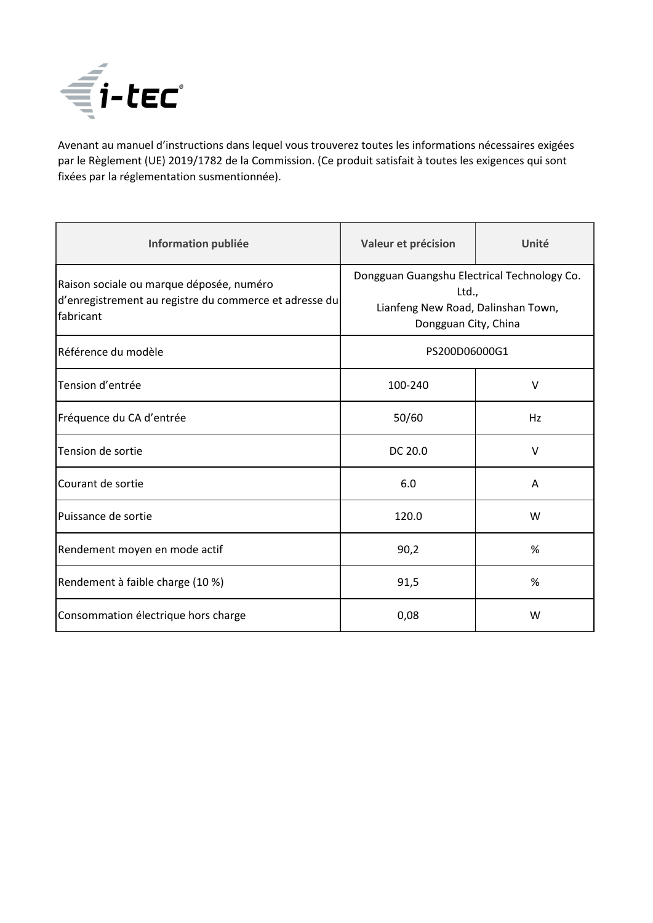

Avenant au manuel d'instructions dans lequel vous trouverez toutes les informations nécessaires exigées par le Règlement (UE) 2019/1782 de la Commission. (Ce produit satisfait à toutes les exigences qui sont fixées par la réglementation susmentionnée).

| Information publiée                                                                                             | Valeur et précision                                                                                                | Unité  |
|-----------------------------------------------------------------------------------------------------------------|--------------------------------------------------------------------------------------------------------------------|--------|
| Raison sociale ou marque déposée, numéro<br>d'enregistrement au registre du commerce et adresse du<br>fabricant | Dongguan Guangshu Electrical Technology Co.<br>Ltd.,<br>Lianfeng New Road, Dalinshan Town,<br>Dongguan City, China |        |
| <b>I</b> Référence du modèle                                                                                    | PS200D06000G1                                                                                                      |        |
| Tension d'entrée                                                                                                | 100-240                                                                                                            | $\vee$ |
| Fréquence du CA d'entrée                                                                                        | 50/60                                                                                                              | Hz     |
| Tension de sortie                                                                                               | DC 20.0                                                                                                            | $\vee$ |
| Courant de sortie                                                                                               | 6.0                                                                                                                | A      |
| Puissance de sortie                                                                                             | 120.0                                                                                                              | W      |
| Rendement moyen en mode actif                                                                                   | 90,2                                                                                                               | %      |
| Rendement à faible charge (10 %)                                                                                | 91,5                                                                                                               | %      |
| Consommation électrique hors charge                                                                             | 0,08                                                                                                               | W      |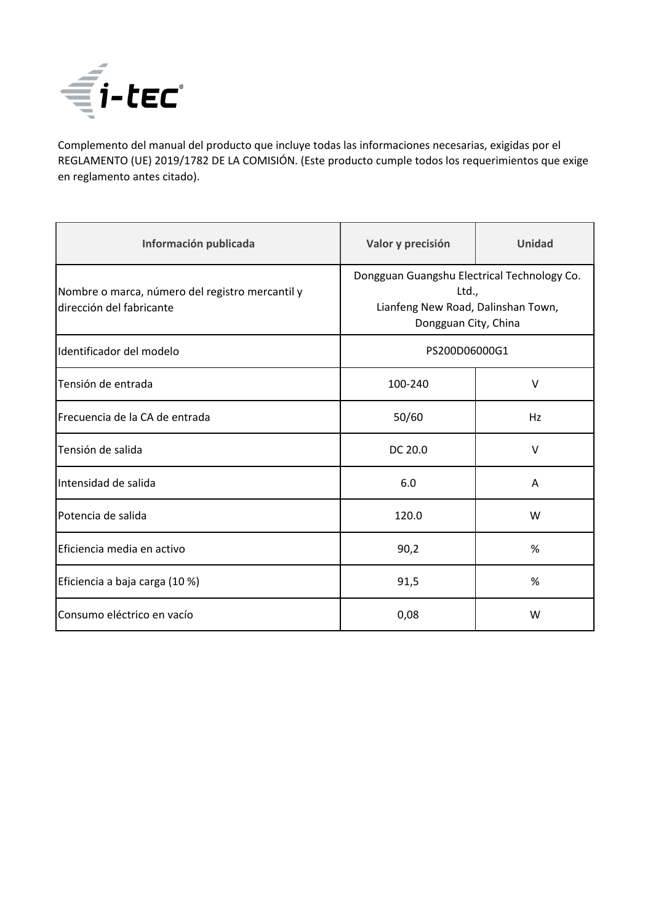

Complemento del manual del producto que incluye todas las informaciones necesarias, exigidas por el REGLAMENTO (UE) 2019/1782 DE LA COMISIÓN. (Este producto cumple todos los requerimientos que exige en reglamento antes citado).

| Información publicada                                                       | Valor y precisión                                                                                                  | Unidad |
|-----------------------------------------------------------------------------|--------------------------------------------------------------------------------------------------------------------|--------|
| Nombre o marca, número del registro mercantil y<br>dirección del fabricante | Dongguan Guangshu Electrical Technology Co.<br>Ltd.,<br>Lianfeng New Road, Dalinshan Town,<br>Dongguan City, China |        |
| Identificador del modelo                                                    | PS200D06000G1                                                                                                      |        |
| Tensión de entrada                                                          | 100-240                                                                                                            | V      |
| Frecuencia de la CA de entrada                                              | 50/60                                                                                                              | Hz     |
| Tensión de salida                                                           | DC 20.0                                                                                                            | V      |
| Intensidad de salida                                                        | 6.0                                                                                                                | Α      |
| Potencia de salida                                                          | 120.0                                                                                                              | W      |
| Eficiencia media en activo                                                  | 90,2                                                                                                               | %      |
| Eficiencia a baja carga (10 %)                                              | 91,5                                                                                                               | %      |
| Consumo eléctrico en vacío                                                  | 0,08                                                                                                               | W      |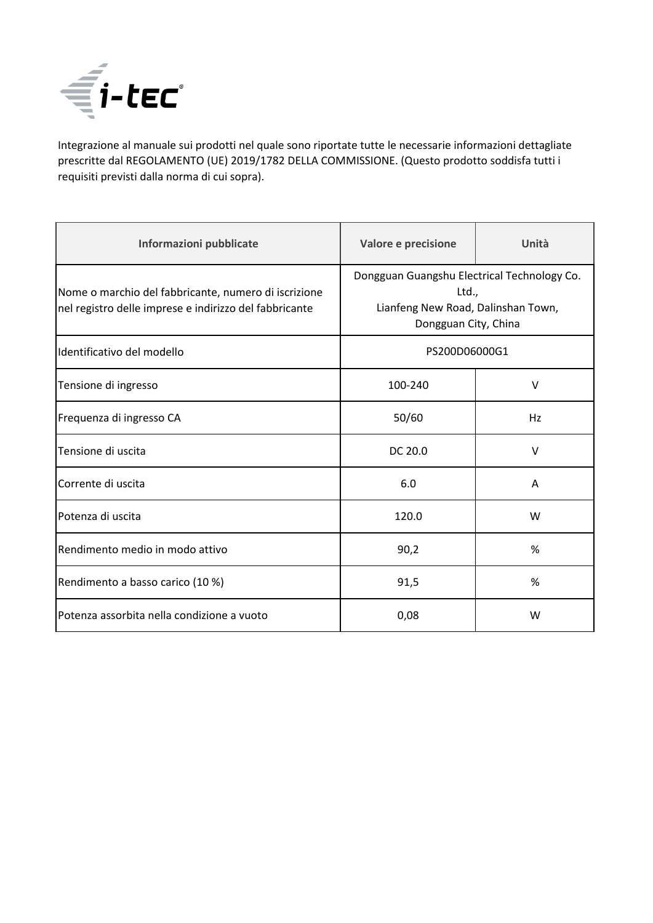

Integrazione al manuale sui prodotti nel quale sono riportate tutte le necessarie informazioni dettagliate prescritte dal REGOLAMENTO (UE) 2019/1782 DELLA COMMISSIONE. (Questo prodotto soddisfa tutti i requisiti previsti dalla norma di cui sopra).

| Informazioni pubblicate                                                                                        | Valore e precisione                                                                                                | Unità  |
|----------------------------------------------------------------------------------------------------------------|--------------------------------------------------------------------------------------------------------------------|--------|
| Nome o marchio del fabbricante, numero di iscrizione<br>nel registro delle imprese e indirizzo del fabbricante | Dongguan Guangshu Electrical Technology Co.<br>Ltd.,<br>Lianfeng New Road, Dalinshan Town,<br>Dongguan City, China |        |
| Identificativo del modello                                                                                     | PS200D06000G1                                                                                                      |        |
| Tensione di ingresso                                                                                           | 100-240                                                                                                            | $\vee$ |
| Frequenza di ingresso CA                                                                                       | 50/60                                                                                                              | Hz     |
| Tensione di uscita                                                                                             | DC 20.0                                                                                                            | $\vee$ |
| Corrente di uscita                                                                                             | 6.0                                                                                                                | A      |
| Potenza di uscita                                                                                              | 120.0                                                                                                              | W      |
| Rendimento medio in modo attivo                                                                                | 90,2                                                                                                               | %      |
| Rendimento a basso carico (10 %)                                                                               | 91,5                                                                                                               | %      |
| Potenza assorbita nella condizione a vuoto                                                                     | 0,08                                                                                                               | W      |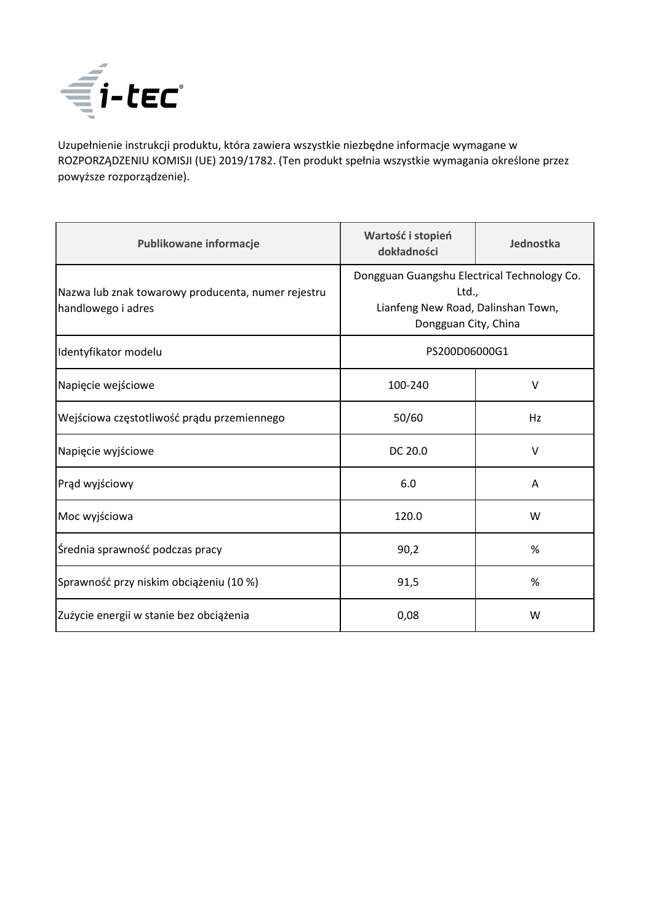

Uzupełnienie instrukcji produktu, która zawiera wszystkie niezbędne informacje wymagane w ROZPORZĄDZENIU KOMISJI (UE) 2019/1782. (Ten produkt spełnia wszystkie wymagania określone przez powyższe rozporządzenie).

| Publikowane informacje                                                   | Wartość i stopień<br>dokładności                                                                                   | Jednostka |
|--------------------------------------------------------------------------|--------------------------------------------------------------------------------------------------------------------|-----------|
| Nazwa lub znak towarowy producenta, numer rejestru<br>handlowego i adres | Dongguan Guangshu Electrical Technology Co.<br>Ltd.,<br>Lianfeng New Road, Dalinshan Town,<br>Dongguan City, China |           |
| Identyfikator modelu                                                     | PS200D06000G1                                                                                                      |           |
| Napięcie wejściowe                                                       | 100-240                                                                                                            | V         |
| Wejściowa częstotliwość prądu przemiennego                               | 50/60                                                                                                              | Hz        |
| Napięcie wyjściowe                                                       | DC 20.0                                                                                                            | $\vee$    |
| Prąd wyjściowy                                                           | 6.0                                                                                                                | Α         |
| Moc wyjściowa                                                            | 120.0                                                                                                              | W         |
| Średnia sprawność podczas pracy                                          | 90,2                                                                                                               | %         |
| Sprawność przy niskim obciążeniu (10 %)                                  | 91,5                                                                                                               | %         |
| Zużycie energii w stanie bez obciążenia                                  | 0,08                                                                                                               | W         |